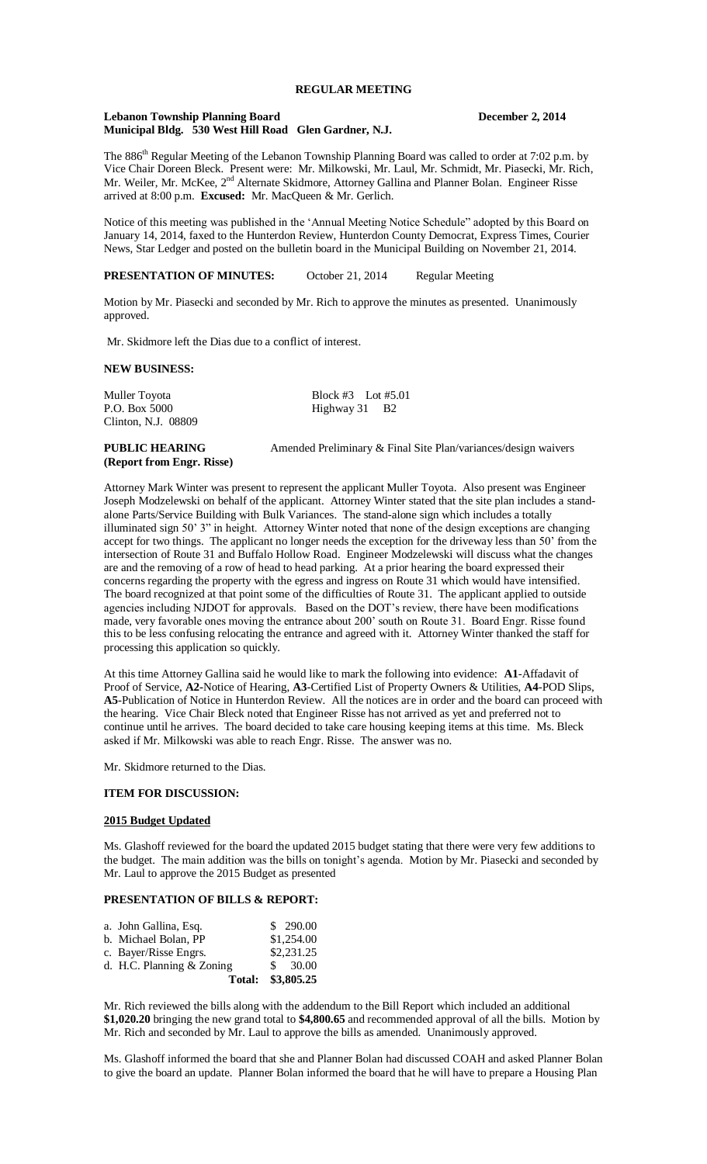# **REGULAR MEETING**

#### **Lebanon Township Planning Board December 2, 2014 Municipal Bldg. 530 West Hill Road Glen Gardner, N.J.**

The 886<sup>th</sup> Regular Meeting of the Lebanon Township Planning Board was called to order at 7:02 p.m. by Vice Chair Doreen Bleck. Present were: Mr. Milkowski, Mr. Laul, Mr. Schmidt, Mr. Piasecki, Mr. Rich, Mr. Weiler, Mr. McKee, 2<sup>nd</sup> Alternate Skidmore, Attorney Gallina and Planner Bolan. Engineer Risse arrived at 8:00 p.m. **Excused:** Mr. MacQueen & Mr. Gerlich.

Notice of this meeting was published in the 'Annual Meeting Notice Schedule" adopted by this Board on January 14, 2014, faxed to the Hunterdon Review, Hunterdon County Democrat, Express Times, Courier News, Star Ledger and posted on the bulletin board in the Municipal Building on November 21, 2014.

**PRESENTATION OF MINUTES:** October 21, 2014 Regular Meeting

Motion by Mr. Piasecki and seconded by Mr. Rich to approve the minutes as presented. Unanimously approved.

Mr. Skidmore left the Dias due to a conflict of interest.

# **NEW BUSINESS:**

Clinton, N.J. 08809

Muller Toyota Block #3 Lot #5.01<br>
P.O. Box 5000 Highway 31 B2 Highway 31 B2

# **(Report from Engr. Risse)**

**PUBLIC HEARING** Amended Preliminary & Final Site Plan/variances/design waivers

Attorney Mark Winter was present to represent the applicant Muller Toyota. Also present was Engineer Joseph Modzelewski on behalf of the applicant. Attorney Winter stated that the site plan includes a standalone Parts/Service Building with Bulk Variances. The stand-alone sign which includes a totally illuminated sign 50' 3" in height. Attorney Winter noted that none of the design exceptions are changing accept for two things. The applicant no longer needs the exception for the driveway less than 50' from the intersection of Route 31 and Buffalo Hollow Road. Engineer Modzelewski will discuss what the changes are and the removing of a row of head to head parking. At a prior hearing the board expressed their concerns regarding the property with the egress and ingress on Route 31 which would have intensified. The board recognized at that point some of the difficulties of Route 31. The applicant applied to outside agencies including NJDOT for approvals. Based on the DOT's review, there have been modifications made, very favorable ones moving the entrance about 200' south on Route 31. Board Engr. Risse found this to be less confusing relocating the entrance and agreed with it. Attorney Winter thanked the staff for processing this application so quickly.

At this time Attorney Gallina said he would like to mark the following into evidence: **A1**-Affadavit of Proof of Service, **A2-**Notice of Hearing, **A3**-Certified List of Property Owners & Utilities, **A4**-POD Slips, **A5**-Publication of Notice in Hunterdon Review. All the notices are in order and the board can proceed with the hearing. Vice Chair Bleck noted that Engineer Risse has not arrived as yet and preferred not to continue until he arrives. The board decided to take care housing keeping items at this time. Ms. Bleck asked if Mr. Milkowski was able to reach Engr. Risse. The answer was no.

Mr. Skidmore returned to the Dias.

### **ITEM FOR DISCUSSION:**

#### **2015 Budget Updated**

Ms. Glashoff reviewed for the board the updated 2015 budget stating that there were very few additions to the budget. The main addition was the bills on tonight's agenda. Motion by Mr. Piasecki and seconded by Mr. Laul to approve the 2015 Budget as presented

# **PRESENTATION OF BILLS & REPORT:**

| a. John Gallina, Esq.       | \$290.00   |
|-----------------------------|------------|
| b. Michael Bolan, PP        | \$1,254.00 |
| c. Bayer/Risse Engrs.       | \$2,231.25 |
| d. H.C. Planning $& Zoning$ | \$30.00    |
| Total:                      | \$3,805.25 |

Mr. Rich reviewed the bills along with the addendum to the Bill Report which included an additional **\$1,020.20** bringing the new grand total to **\$4,800.65** and recommended approval of all the bills. Motion by Mr. Rich and seconded by Mr. Laul to approve the bills as amended. Unanimously approved.

Ms. Glashoff informed the board that she and Planner Bolan had discussed COAH and asked Planner Bolan to give the board an update. Planner Bolan informed the board that he will have to prepare a Housing Plan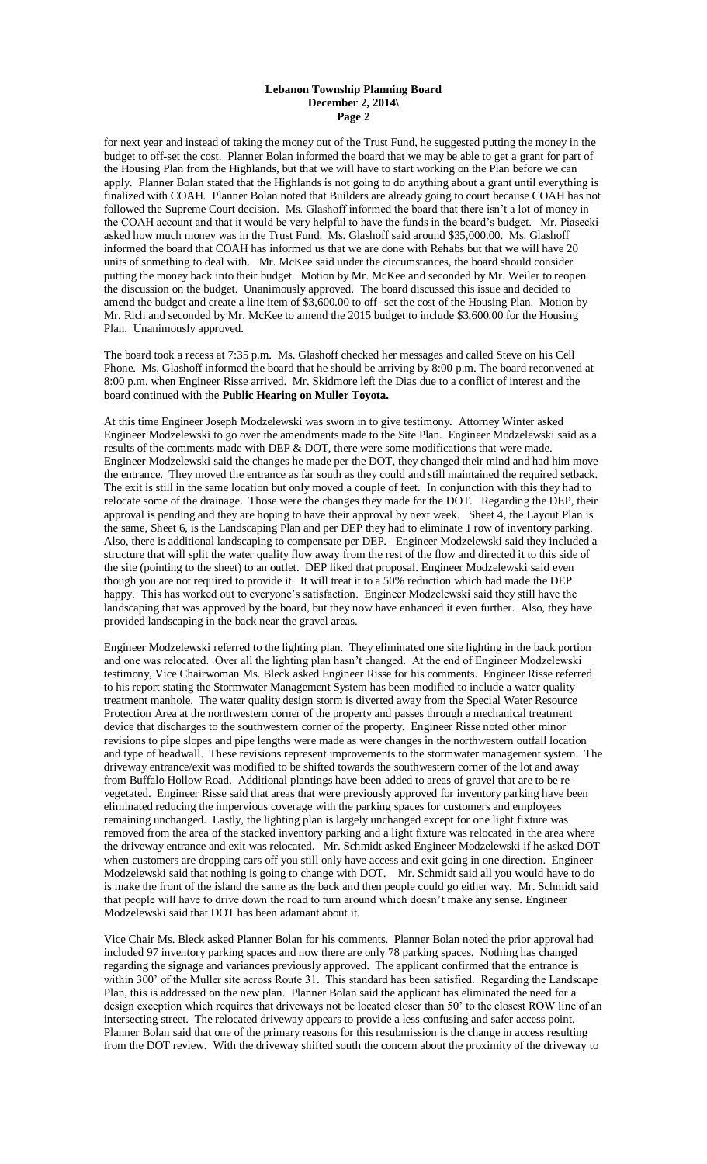#### **Lebanon Township Planning Board December 2, 2014\ Page 2**

for next year and instead of taking the money out of the Trust Fund, he suggested putting the money in the budget to off-set the cost. Planner Bolan informed the board that we may be able to get a grant for part of the Housing Plan from the Highlands, but that we will have to start working on the Plan before we can apply. Planner Bolan stated that the Highlands is not going to do anything about a grant until everything is finalized with COAH. Planner Bolan noted that Builders are already going to court because COAH has not followed the Supreme Court decision. Ms. Glashoff informed the board that there isn't a lot of money in the COAH account and that it would be very helpful to have the funds in the board's budget. Mr. Piasecki asked how much money was in the Trust Fund. Ms. Glashoff said around \$35,000.00. Ms. Glashoff informed the board that COAH has informed us that we are done with Rehabs but that we will have 20 units of something to deal with. Mr. McKee said under the circumstances, the board should consider putting the money back into their budget. Motion by Mr. McKee and seconded by Mr. Weiler to reopen the discussion on the budget. Unanimously approved. The board discussed this issue and decided to amend the budget and create a line item of \$3,600.00 to off- set the cost of the Housing Plan. Motion by Mr. Rich and seconded by Mr. McKee to amend the 2015 budget to include \$3,600.00 for the Housing Plan. Unanimously approved.

The board took a recess at 7:35 p.m. Ms. Glashoff checked her messages and called Steve on his Cell Phone. Ms. Glashoff informed the board that he should be arriving by 8:00 p.m. The board reconvened at 8:00 p.m. when Engineer Risse arrived. Mr. Skidmore left the Dias due to a conflict of interest and the board continued with the **Public Hearing on Muller Toyota.**

At this time Engineer Joseph Modzelewski was sworn in to give testimony. Attorney Winter asked Engineer Modzelewski to go over the amendments made to the Site Plan. Engineer Modzelewski said as a results of the comments made with DEP & DOT, there were some modifications that were made. Engineer Modzelewski said the changes he made per the DOT, they changed their mind and had him move the entrance. They moved the entrance as far south as they could and still maintained the required setback. The exit is still in the same location but only moved a couple of feet. In conjunction with this they had to relocate some of the drainage. Those were the changes they made for the DOT. Regarding the DEP, their approval is pending and they are hoping to have their approval by next week. Sheet 4, the Layout Plan is the same, Sheet 6, is the Landscaping Plan and per DEP they had to eliminate 1 row of inventory parking. Also, there is additional landscaping to compensate per DEP. Engineer Modzelewski said they included a structure that will split the water quality flow away from the rest of the flow and directed it to this side of the site (pointing to the sheet) to an outlet. DEP liked that proposal. Engineer Modzelewski said even though you are not required to provide it. It will treat it to a 50% reduction which had made the DEP happy. This has worked out to everyone's satisfaction. Engineer Modzelewski said they still have the landscaping that was approved by the board, but they now have enhanced it even further. Also, they have provided landscaping in the back near the gravel areas.

Engineer Modzelewski referred to the lighting plan. They eliminated one site lighting in the back portion and one was relocated. Over all the lighting plan hasn't changed. At the end of Engineer Modzelewski testimony, Vice Chairwoman Ms. Bleck asked Engineer Risse for his comments. Engineer Risse referred to his report stating the Stormwater Management System has been modified to include a water quality treatment manhole. The water quality design storm is diverted away from the Special Water Resource Protection Area at the northwestern corner of the property and passes through a mechanical treatment device that discharges to the southwestern corner of the property. Engineer Risse noted other minor revisions to pipe slopes and pipe lengths were made as were changes in the northwestern outfall location and type of headwall. These revisions represent improvements to the stormwater management system. The driveway entrance/exit was modified to be shifted towards the southwestern corner of the lot and away from Buffalo Hollow Road. Additional plantings have been added to areas of gravel that are to be revegetated. Engineer Risse said that areas that were previously approved for inventory parking have been eliminated reducing the impervious coverage with the parking spaces for customers and employees remaining unchanged. Lastly, the lighting plan is largely unchanged except for one light fixture was removed from the area of the stacked inventory parking and a light fixture was relocated in the area where the driveway entrance and exit was relocated. Mr. Schmidt asked Engineer Modzelewski if he asked DOT when customers are dropping cars off you still only have access and exit going in one direction. Engineer Modzelewski said that nothing is going to change with DOT. Mr. Schmidt said all you would have to do is make the front of the island the same as the back and then people could go either way. Mr. Schmidt said that people will have to drive down the road to turn around which doesn't make any sense. Engineer Modzelewski said that DOT has been adamant about it.

Vice Chair Ms. Bleck asked Planner Bolan for his comments. Planner Bolan noted the prior approval had included 97 inventory parking spaces and now there are only 78 parking spaces. Nothing has changed regarding the signage and variances previously approved. The applicant confirmed that the entrance is within 300' of the Muller site across Route 31. This standard has been satisfied. Regarding the Landscape Plan, this is addressed on the new plan. Planner Bolan said the applicant has eliminated the need for a design exception which requires that driveways not be located closer than 50' to the closest ROW line of an intersecting street. The relocated driveway appears to provide a less confusing and safer access point. Planner Bolan said that one of the primary reasons for this resubmission is the change in access resulting from the DOT review. With the driveway shifted south the concern about the proximity of the driveway to